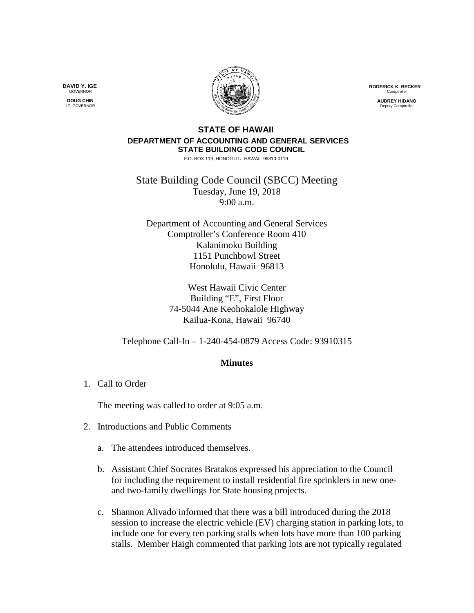**RODERICK K. BECKER** Comptrolle

> **AUDREY HIDANO** .<br>Deputy Comptr

## **STATE OF HAWAII DEPARTMENT OF ACCOUNTING AND GENERAL SERVICES STATE BUILDING CODE COUNCIL**

P.O. BOX 119, HONOLULU, HAWAII 96810-0119

State Building Code Council (SBCC) Meeting Tuesday, June 19, 2018 9:00 a.m.

Department of Accounting and General Services Comptroller's Conference Room 410 Kalanimoku Building 1151 Punchbowl Street Honolulu, Hawaii 96813

> West Hawaii Civic Center Building "E", First Floor 74-5044 Ane Keohokalole Highway Kailua-Kona, Hawaii 96740

Telephone Call-In – 1-240-454-0879 Access Code: 93910315

## **Minutes**

1. Call to Order

The meeting was called to order at 9:05 a.m.

- 2. Introductions and Public Comments
	- a. The attendees introduced themselves.
	- b. Assistant Chief Socrates Bratakos expressed his appreciation to the Council for including the requirement to install residential fire sprinklers in new oneand two-family dwellings for State housing projects.
	- c. Shannon Alivado informed that there was a bill introduced during the 2018 session to increase the electric vehicle (EV) charging station in parking lots, to include one for every ten parking stalls when lots have more than 100 parking stalls. Member Haigh commented that parking lots are not typically regulated

**DAVID Y. IGE GOVERNOR** 

**DOUG CHIN** LT. GOVERNOR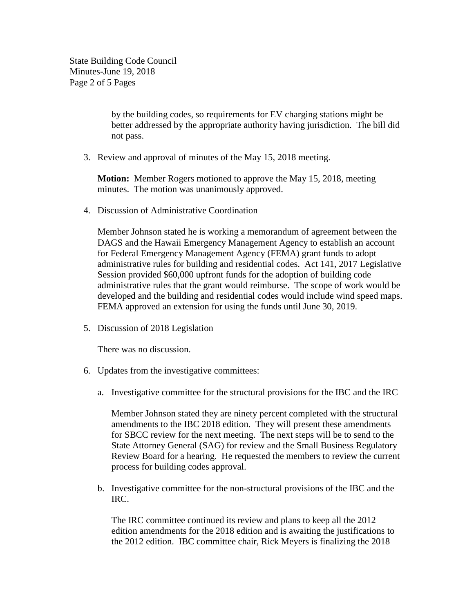State Building Code Council Minutes-June 19, 2018 Page 2 of 5 Pages

> by the building codes, so requirements for EV charging stations might be better addressed by the appropriate authority having jurisdiction. The bill did not pass.

3. Review and approval of minutes of the May 15, 2018 meeting.

**Motion:** Member Rogers motioned to approve the May 15, 2018, meeting minutes. The motion was unanimously approved.

4. Discussion of Administrative Coordination

Member Johnson stated he is working a memorandum of agreement between the DAGS and the Hawaii Emergency Management Agency to establish an account for Federal Emergency Management Agency (FEMA) grant funds to adopt administrative rules for building and residential codes. Act 141, 2017 Legislative Session provided \$60,000 upfront funds for the adoption of building code administrative rules that the grant would reimburse. The scope of work would be developed and the building and residential codes would include wind speed maps. FEMA approved an extension for using the funds until June 30, 2019.

5. Discussion of 2018 Legislation

There was no discussion.

- 6. Updates from the investigative committees:
	- a. Investigative committee for the structural provisions for the IBC and the IRC

Member Johnson stated they are ninety percent completed with the structural amendments to the IBC 2018 edition. They will present these amendments for SBCC review for the next meeting. The next steps will be to send to the State Attorney General (SAG) for review and the Small Business Regulatory Review Board for a hearing. He requested the members to review the current process for building codes approval.

b. Investigative committee for the non-structural provisions of the IBC and the IRC.

The IRC committee continued its review and plans to keep all the 2012 edition amendments for the 2018 edition and is awaiting the justifications to the 2012 edition. IBC committee chair, Rick Meyers is finalizing the 2018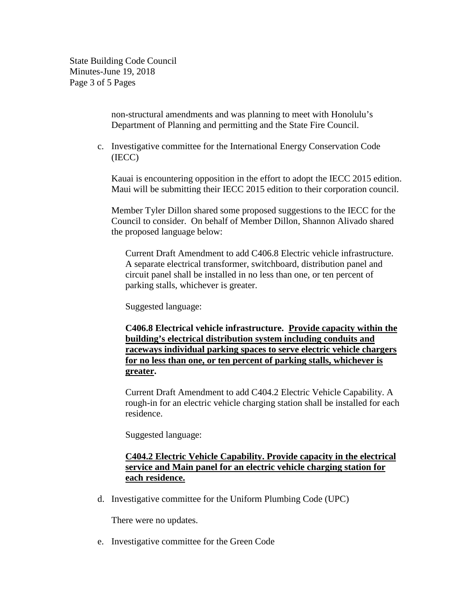State Building Code Council Minutes-June 19, 2018 Page 3 of 5 Pages

> non-structural amendments and was planning to meet with Honolulu's Department of Planning and permitting and the State Fire Council.

c. Investigative committee for the International Energy Conservation Code (IECC)

Kauai is encountering opposition in the effort to adopt the IECC 2015 edition. Maui will be submitting their IECC 2015 edition to their corporation council.

Member Tyler Dillon shared some proposed suggestions to the IECC for the Council to consider. On behalf of Member Dillon, Shannon Alivado shared the proposed language below:

Current Draft Amendment to add C406.8 Electric vehicle infrastructure. A separate electrical transformer, switchboard, distribution panel and circuit panel shall be installed in no less than one, or ten percent of parking stalls, whichever is greater.

Suggested language:

**C406.8 Electrical vehicle infrastructure. Provide capacity within the building's electrical distribution system including conduits and raceways individual parking spaces to serve electric vehicle chargers for no less than one, or ten percent of parking stalls, whichever is greater.**

Current Draft Amendment to add C404.2 Electric Vehicle Capability. A rough-in for an electric vehicle charging station shall be installed for each residence.

Suggested language:

## **C404.2 Electric Vehicle Capability. Provide capacity in the electrical service and Main panel for an electric vehicle charging station for each residence.**

d. Investigative committee for the Uniform Plumbing Code (UPC)

There were no updates.

e. Investigative committee for the Green Code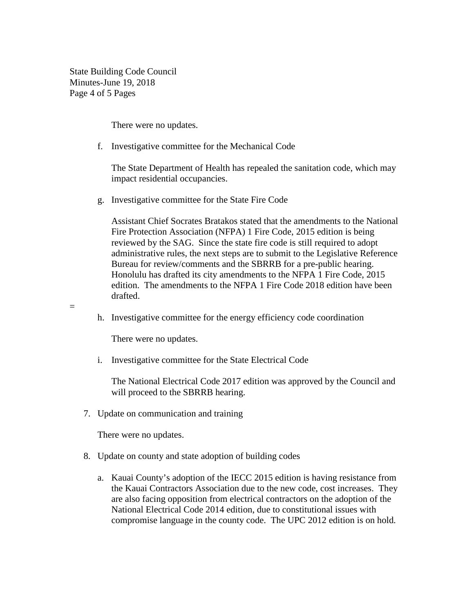State Building Code Council Minutes-June 19, 2018 Page 4 of 5 Pages

There were no updates.

f. Investigative committee for the Mechanical Code

The State Department of Health has repealed the sanitation code, which may impact residential occupancies.

g. Investigative committee for the State Fire Code

Assistant Chief Socrates Bratakos stated that the amendments to the National Fire Protection Association (NFPA) 1 Fire Code, 2015 edition is being reviewed by the SAG. Since the state fire code is still required to adopt administrative rules, the next steps are to submit to the Legislative Reference Bureau for review/comments and the SBRRB for a pre-public hearing. Honolulu has drafted its city amendments to the NFPA 1 Fire Code, 2015 edition. The amendments to the NFPA 1 Fire Code 2018 edition have been drafted.

h. Investigative committee for the energy efficiency code coordination

There were no updates.

=

i. Investigative committee for the State Electrical Code

The National Electrical Code 2017 edition was approved by the Council and will proceed to the SBRRB hearing.

7. Update on communication and training

There were no updates.

- 8. Update on county and state adoption of building codes
	- a. Kauai County's adoption of the IECC 2015 edition is having resistance from the Kauai Contractors Association due to the new code, cost increases. They are also facing opposition from electrical contractors on the adoption of the National Electrical Code 2014 edition, due to constitutional issues with compromise language in the county code. The UPC 2012 edition is on hold.